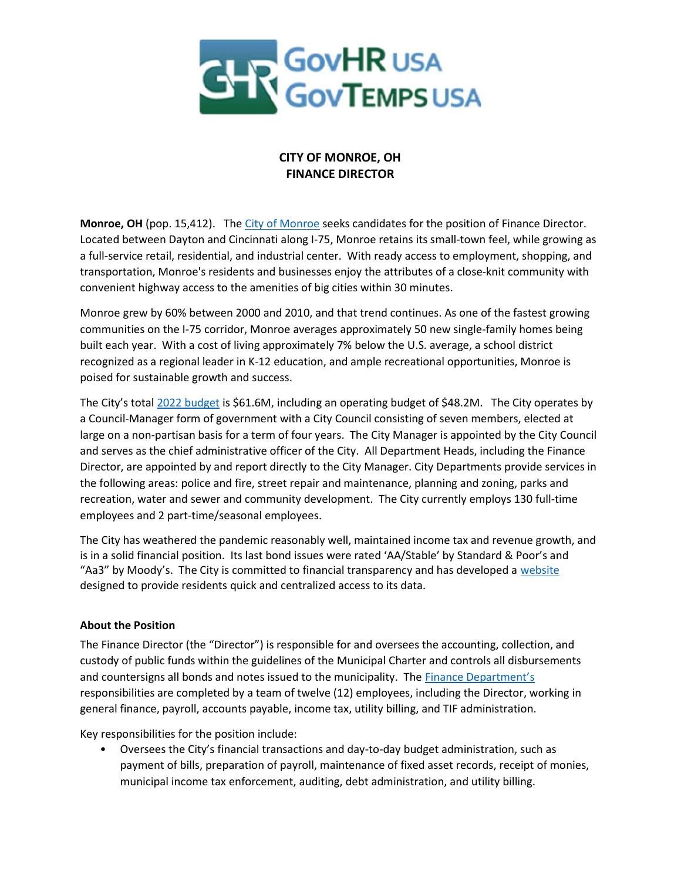

# CITY OF MONROE, OH FINANCE DIRECTOR

Monroe, OH (pop. 15,412). The City of Monroe seeks candidates for the position of Finance Director. Located between Dayton and Cincinnati along I-75, Monroe retains its small-town feel, while growing as a full-service retail, residential, and industrial center. With ready access to employment, shopping, and transportation, Monroe's residents and businesses enjoy the attributes of a close-knit community with convenient highway access to the amenities of big cities within 30 minutes.

Monroe grew by 60% between 2000 and 2010, and that trend continues. As one of the fastest growing communities on the I-75 corridor, Monroe averages approximately 50 new single-family homes being built each year. With a cost of living approximately 7% below the U.S. average, a school district recognized as a regional leader in K-12 education, and ample recreational opportunities, Monroe is poised for sustainable growth and success.

The City's total 2022 budget is \$61.6M, including an operating budget of \$48.2M. The City operates by a Council-Manager form of government with a City Council consisting of seven members, elected at large on a non-partisan basis for a term of four years. The City Manager is appointed by the City Council and serves as the chief administrative officer of the City. All Department Heads, including the Finance Director, are appointed by and report directly to the City Manager. City Departments provide services in the following areas: police and fire, street repair and maintenance, planning and zoning, parks and recreation, water and sewer and community development. The City currently employs 130 full-time employees and 2 part-time/seasonal employees.

The City has weathered the pandemic reasonably well, maintained income tax and revenue growth, and is in a solid financial position. Its last bond issues were rated 'AA/Stable' by Standard & Poor's and "Aa3" by Moody's. The City is committed to financial transparency and has developed a website designed to provide residents quick and centralized access to its data.

### About the Position

The Finance Director (the "Director") is responsible for and oversees the accounting, collection, and custody of public funds within the guidelines of the Municipal Charter and controls all disbursements and countersigns all bonds and notes issued to the municipality. The **Finance Department's** responsibilities are completed by a team of twelve (12) employees, including the Director, working in general finance, payroll, accounts payable, income tax, utility billing, and TIF administration.

Key responsibilities for the position include:

• Oversees the City's financial transactions and day-to-day budget administration, such as payment of bills, preparation of payroll, maintenance of fixed asset records, receipt of monies, municipal income tax enforcement, auditing, debt administration, and utility billing.